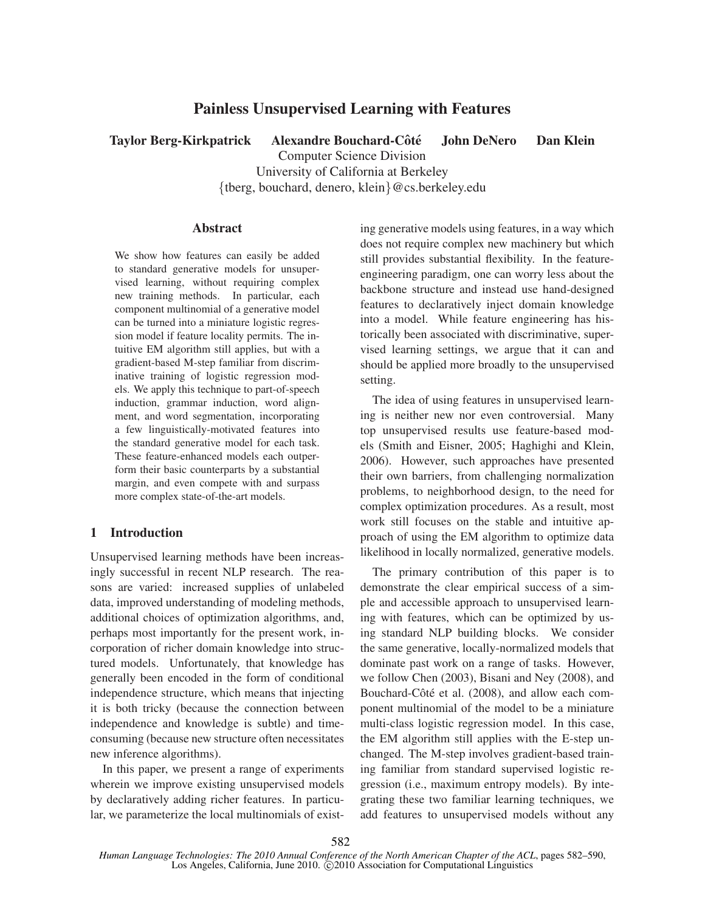# Painless Unsupervised Learning with Features

Taylor Berg-Kirkpatrick Alexandre Bouchard-Côté John DeNero Dan Klein Computer Science Division University of California at Berkeley {tberg, bouchard, denero, klein}@cs.berkeley.edu

## Abstract

We show how features can easily be added to standard generative models for unsupervised learning, without requiring complex new training methods. In particular, each component multinomial of a generative model can be turned into a miniature logistic regression model if feature locality permits. The intuitive EM algorithm still applies, but with a gradient-based M-step familiar from discriminative training of logistic regression models. We apply this technique to part-of-speech induction, grammar induction, word alignment, and word segmentation, incorporating a few linguistically-motivated features into the standard generative model for each task. These feature-enhanced models each outperform their basic counterparts by a substantial margin, and even compete with and surpass more complex state-of-the-art models.

## 1 Introduction

Unsupervised learning methods have been increasingly successful in recent NLP research. The reasons are varied: increased supplies of unlabeled data, improved understanding of modeling methods, additional choices of optimization algorithms, and, perhaps most importantly for the present work, incorporation of richer domain knowledge into structured models. Unfortunately, that knowledge has generally been encoded in the form of conditional independence structure, which means that injecting it is both tricky (because the connection between independence and knowledge is subtle) and timeconsuming (because new structure often necessitates new inference algorithms).

In this paper, we present a range of experiments wherein we improve existing unsupervised models by declaratively adding richer features. In particular, we parameterize the local multinomials of existing generative models using features, in a way which does not require complex new machinery but which still provides substantial flexibility. In the featureengineering paradigm, one can worry less about the backbone structure and instead use hand-designed features to declaratively inject domain knowledge into a model. While feature engineering has historically been associated with discriminative, supervised learning settings, we argue that it can and should be applied more broadly to the unsupervised setting.

The idea of using features in unsupervised learning is neither new nor even controversial. Many top unsupervised results use feature-based models (Smith and Eisner, 2005; Haghighi and Klein, 2006). However, such approaches have presented their own barriers, from challenging normalization problems, to neighborhood design, to the need for complex optimization procedures. As a result, most work still focuses on the stable and intuitive approach of using the EM algorithm to optimize data likelihood in locally normalized, generative models.

The primary contribution of this paper is to demonstrate the clear empirical success of a simple and accessible approach to unsupervised learning with features, which can be optimized by using standard NLP building blocks. We consider the same generative, locally-normalized models that dominate past work on a range of tasks. However, we follow Chen (2003), Bisani and Ney (2008), and Bouchard-Côté et al. (2008), and allow each component multinomial of the model to be a miniature multi-class logistic regression model. In this case, the EM algorithm still applies with the E-step unchanged. The M-step involves gradient-based training familiar from standard supervised logistic regression (i.e., maximum entropy models). By integrating these two familiar learning techniques, we add features to unsupervised models without any

582

*Human Language Technologies: The 2010 Annual Conference of the North American Chapter of the ACL*, pages 582–590, Los Angeles, California, June 2010. C 2010 Association for Computational Linguistics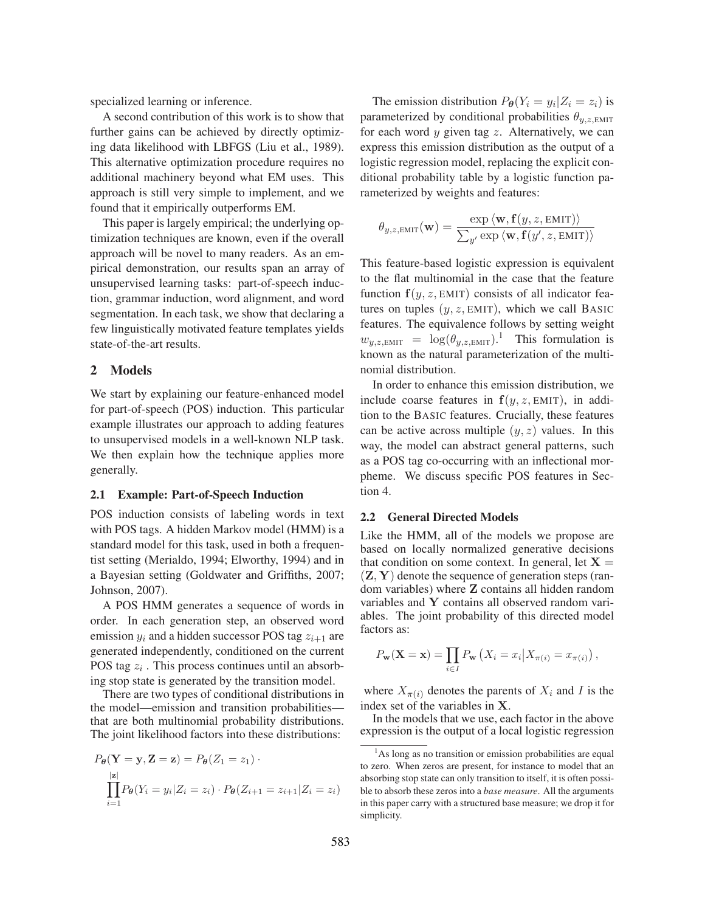specialized learning or inference.

A second contribution of this work is to show that further gains can be achieved by directly optimizing data likelihood with LBFGS (Liu et al., 1989). This alternative optimization procedure requires no additional machinery beyond what EM uses. This approach is still very simple to implement, and we found that it empirically outperforms EM.

This paper is largely empirical; the underlying optimization techniques are known, even if the overall approach will be novel to many readers. As an empirical demonstration, our results span an array of unsupervised learning tasks: part-of-speech induction, grammar induction, word alignment, and word segmentation. In each task, we show that declaring a few linguistically motivated feature templates yields state-of-the-art results.

## 2 Models

We start by explaining our feature-enhanced model for part-of-speech (POS) induction. This particular example illustrates our approach to adding features to unsupervised models in a well-known NLP task. We then explain how the technique applies more generally.

#### 2.1 Example: Part-of-Speech Induction

POS induction consists of labeling words in text with POS tags. A hidden Markov model (HMM) is a standard model for this task, used in both a frequentist setting (Merialdo, 1994; Elworthy, 1994) and in a Bayesian setting (Goldwater and Griffiths, 2007; Johnson, 2007).

A POS HMM generates a sequence of words in order. In each generation step, an observed word emission  $y_i$  and a hidden successor POS tag  $z_{i+1}$  are generated independently, conditioned on the current POS tag  $z_i$ . This process continues until an absorbing stop state is generated by the transition model.

There are two types of conditional distributions in the model—emission and transition probabilities that are both multinomial probability distributions. The joint likelihood factors into these distributions:

$$
P_{\theta}(\mathbf{Y} = \mathbf{y}, \mathbf{Z} = \mathbf{z}) = P_{\theta}(Z_1 = z_1) \cdot \prod_{i=1}^{|\mathbf{z}|} P_{\theta}(Y_i = y_i | Z_i = z_i) \cdot P_{\theta}(Z_{i+1} = z_{i+1} | Z_i = z_i)
$$

The emission distribution  $P_{\theta}(Y_i = y_i | Z_i = z_i)$  is parameterized by conditional probabilities  $\theta_{v,z,\text{EMIT}}$ for each word  $y$  given tag  $z$ . Alternatively, we can express this emission distribution as the output of a logistic regression model, replacing the explicit conditional probability table by a logistic function parameterized by weights and features:

$$
\theta_{y,z,\text{EMIT}}(\mathbf{w}) = \frac{\exp \langle \mathbf{w}, \mathbf{f}(y,z,\text{EMIT}) \rangle}{\sum_{y'} \exp \langle \mathbf{w}, \mathbf{f}(y',z,\text{EMIT}) \rangle}
$$

This feature-based logistic expression is equivalent to the flat multinomial in the case that the feature function  $f(y, z, EMIT)$  consists of all indicator features on tuples  $(y, z, EMIT)$ , which we call BASIC features. The equivalence follows by setting weight  $w_{y,z,\text{EMIT}} = \log(\theta_{y,z,\text{EMIT}})^{1}$  This formulation is known as the natural parameterization of the multinomial distribution.

In order to enhance this emission distribution, we include coarse features in  $f(y, z, EMIT)$ , in addition to the BASIC features. Crucially, these features can be active across multiple  $(y, z)$  values. In this way, the model can abstract general patterns, such as a POS tag co-occurring with an inflectional morpheme. We discuss specific POS features in Section 4.

### 2.2 General Directed Models

Like the HMM, all of the models we propose are based on locally normalized generative decisions that condition on some context. In general, let  $X =$  $(Z, Y)$  denote the sequence of generation steps (random variables) where Z contains all hidden random variables and Y contains all observed random variables. The joint probability of this directed model factors as:

$$
P_{\mathbf{w}}(\mathbf{X}=\mathbf{x})=\prod_{i\in I}P_{\mathbf{w}}\left(X_i=x_i\big|X_{\pi(i)}=x_{\pi(i)}\right),
$$

where  $X_{\pi(i)}$  denotes the parents of  $X_i$  and I is the index set of the variables in X.

In the models that we use, each factor in the above expression is the output of a local logistic regression

<sup>&</sup>lt;sup>1</sup>As long as no transition or emission probabilities are equal to zero. When zeros are present, for instance to model that an absorbing stop state can only transition to itself, it is often possible to absorb these zeros into a *base measure*. All the arguments in this paper carry with a structured base measure; we drop it for simplicity.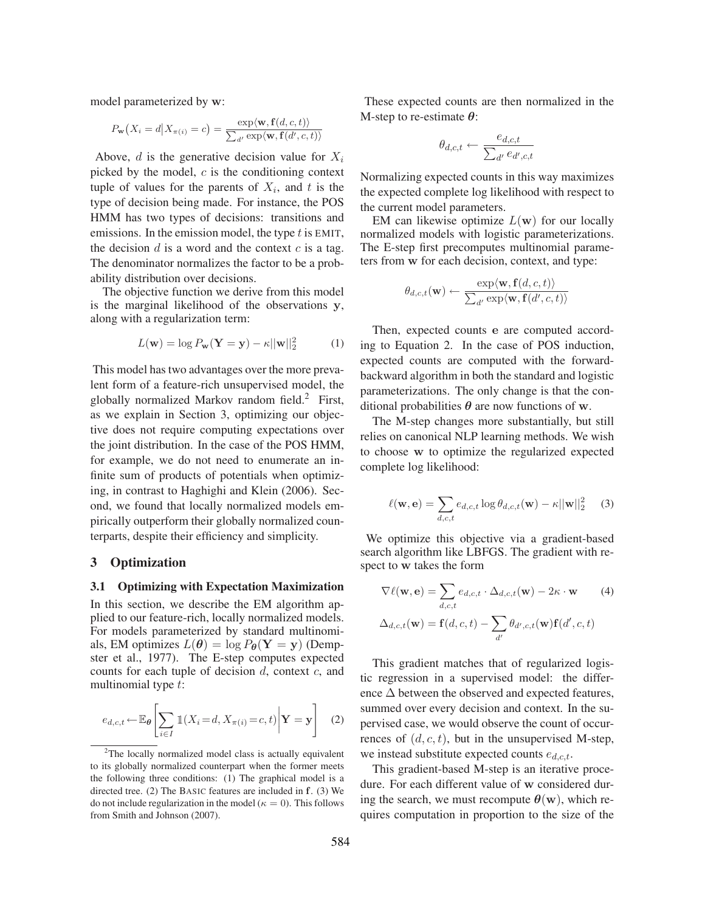model parameterized by w:

$$
P_{\mathbf{w}}(X_i = d | X_{\pi(i)} = c) = \frac{\exp\langle \mathbf{w}, \mathbf{f}(d, c, t) \rangle}{\sum_{d'} \exp\langle \mathbf{w}, \mathbf{f}(d', c, t) \rangle}
$$

Above,  $d$  is the generative decision value for  $X_i$ picked by the model,  $c$  is the conditioning context tuple of values for the parents of  $X_i$ , and t is the type of decision being made. For instance, the POS HMM has two types of decisions: transitions and emissions. In the emission model, the type  $t$  is EMIT, the decision  $d$  is a word and the context  $c$  is a tag. The denominator normalizes the factor to be a probability distribution over decisions.

The objective function we derive from this model is the marginal likelihood of the observations y, along with a regularization term:

$$
L(\mathbf{w}) = \log P_{\mathbf{w}}(\mathbf{Y} = \mathbf{y}) - \kappa ||\mathbf{w}||_2^2 \tag{1}
$$

This model has two advantages over the more prevalent form of a feature-rich unsupervised model, the globally normalized Markov random field.<sup>2</sup> First, as we explain in Section 3, optimizing our objective does not require computing expectations over the joint distribution. In the case of the POS HMM, for example, we do not need to enumerate an infinite sum of products of potentials when optimizing, in contrast to Haghighi and Klein (2006). Second, we found that locally normalized models empirically outperform their globally normalized counterparts, despite their efficiency and simplicity.

## 3 Optimization

#### 3.1 Optimizing with Expectation Maximization

In this section, we describe the EM algorithm applied to our feature-rich, locally normalized models. For models parameterized by standard multinomials, EM optimizes  $L(\theta) = \log P_{\theta}(\mathbf{Y} = \mathbf{y})$  (Dempster et al., 1977). The E-step computes expected counts for each tuple of decision  $d$ , context  $c$ , and multinomial type t:

$$
e_{d,c,t} \leftarrow \mathbb{E}_{\theta} \left[ \sum_{i \in I} \mathbb{1}(X_i = d, X_{\pi(i)} = c, t) \middle| \mathbf{Y} = \mathbf{y} \right] \quad (2)
$$

These expected counts are then normalized in the M-step to re-estimate  $\theta$ :

$$
\theta_{d,c,t} \leftarrow \frac{e_{d,c,t}}{\sum_{d'} e_{d',c,t}}
$$

Normalizing expected counts in this way maximizes the expected complete log likelihood with respect to the current model parameters.

EM can likewise optimize  $L(\mathbf{w})$  for our locally normalized models with logistic parameterizations. The E-step first precomputes multinomial parameters from w for each decision, context, and type:

$$
\theta_{d,c,t}(\mathbf{w}) \leftarrow \frac{\exp\langle\mathbf{w}, \mathbf{f}(d,c,t)\rangle}{\sum_{d'} \exp\langle\mathbf{w}, \mathbf{f}(d',c,t)\rangle}
$$

Then, expected counts e are computed according to Equation 2. In the case of POS induction, expected counts are computed with the forwardbackward algorithm in both the standard and logistic parameterizations. The only change is that the conditional probabilities  $\theta$  are now functions of w.

The M-step changes more substantially, but still relies on canonical NLP learning methods. We wish to choose w to optimize the regularized expected complete log likelihood:

$$
\ell(\mathbf{w}, \mathbf{e}) = \sum_{d,c,t} e_{d,c,t} \log \theta_{d,c,t}(\mathbf{w}) - \kappa ||\mathbf{w}||_2^2 \quad (3)
$$

We optimize this objective via a gradient-based search algorithm like LBFGS. The gradient with respect to w takes the form

$$
\nabla \ell(\mathbf{w}, \mathbf{e}) = \sum_{d,c,t} e_{d,c,t} \cdot \Delta_{d,c,t}(\mathbf{w}) - 2\kappa \cdot \mathbf{w}
$$
 (4)  

$$
\Delta_{d,c,t}(\mathbf{w}) = \mathbf{f}(d,c,t) - \sum_{d'} \theta_{d',c,t}(\mathbf{w}) \mathbf{f}(d',c,t)
$$

This gradient matches that of regularized logistic regression in a supervised model: the difference  $\Delta$  between the observed and expected features, summed over every decision and context. In the supervised case, we would observe the count of occurrences of  $(d, c, t)$ , but in the unsupervised M-step, we instead substitute expected counts  $e_{d,c,t}$ .

This gradient-based M-step is an iterative procedure. For each different value of w considered during the search, we must recompute  $\theta(\mathbf{w})$ , which requires computation in proportion to the size of the

<sup>&</sup>lt;sup>2</sup>The locally normalized model class is actually equivalent to its globally normalized counterpart when the former meets the following three conditions: (1) The graphical model is a directed tree. (2) The BASIC features are included in f. (3) We do not include regularization in the model ( $\kappa = 0$ ). This follows from Smith and Johnson (2007).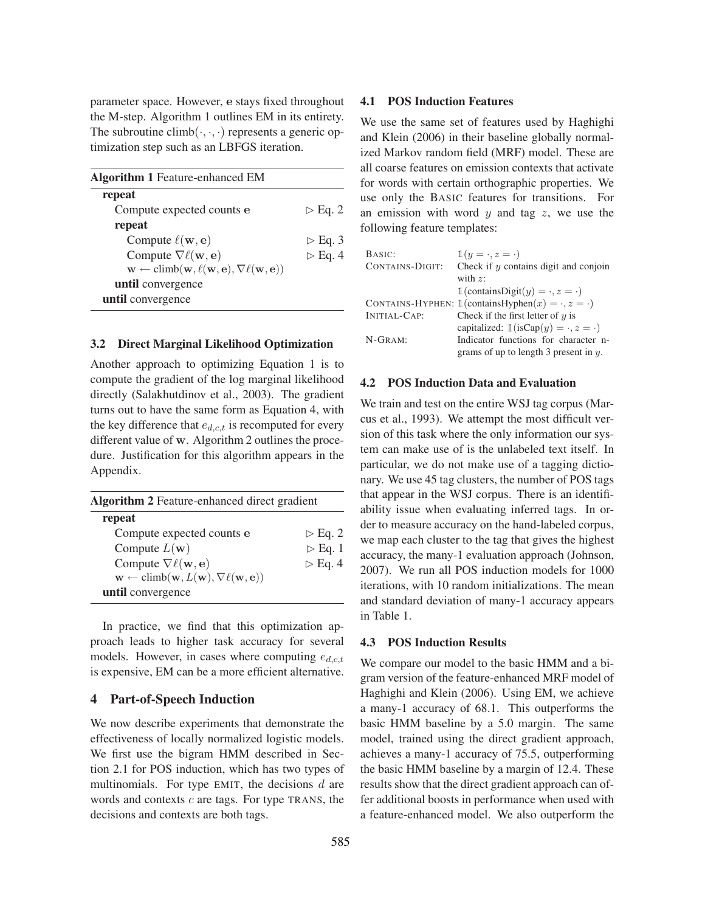parameter space. However, e stays fixed throughout the M-step. Algorithm 1 outlines EM in its entirety. The subroutine climb $(\cdot, \cdot, \cdot)$  represents a generic optimization step such as an LBFGS iteration.

| <b>Algorithm 1 Feature-enhanced EM</b>                                                                              |                        |
|---------------------------------------------------------------------------------------------------------------------|------------------------|
| repeat                                                                                                              |                        |
| Compute expected counts e                                                                                           | $\triangleright$ Eq. 2 |
| repeat                                                                                                              |                        |
| Compute $\ell(\mathbf{w}, \mathbf{e})$                                                                              | $\triangleright$ Eq. 3 |
| Compute $\nabla \ell(\mathbf{w}, \mathbf{e})$                                                                       | $\triangleright$ Eq. 4 |
| $\mathbf{w} \leftarrow \text{climb}(\mathbf{w}, \ell(\mathbf{w}, \mathbf{e}), \nabla \ell(\mathbf{w}, \mathbf{e}))$ |                        |
| until convergence                                                                                                   |                        |
| until convergence                                                                                                   |                        |

#### 3.2 Direct Marginal Likelihood Optimization

Another approach to optimizing Equation 1 is to compute the gradient of the log marginal likelihood directly (Salakhutdinov et al., 2003). The gradient turns out to have the same form as Equation 4, with the key difference that  $e_{d,c,t}$  is recomputed for every different value of w. Algorithm 2 outlines the procedure. Justification for this algorithm appears in the Appendix.

| <b>Algorithm 2</b> Feature-enhanced direct gradient                                                  |                        |  |
|------------------------------------------------------------------------------------------------------|------------------------|--|
| repeat                                                                                               |                        |  |
| Compute expected counts e                                                                            | $\triangleright$ Eq. 2 |  |
| Compute $L(\mathbf{w})$                                                                              | $\triangleright$ Eq. 1 |  |
| Compute $\nabla \ell(\mathbf{w}, \mathbf{e})$                                                        | $\triangleright$ Eq. 4 |  |
| $\mathbf{w} \leftarrow \text{climb}(\mathbf{w}, L(\mathbf{w}), \nabla \ell(\mathbf{w}, \mathbf{e}))$ |                        |  |
| until convergence                                                                                    |                        |  |

In practice, we find that this optimization approach leads to higher task accuracy for several models. However, in cases where computing  $e_{d,c,t}$ is expensive, EM can be a more efficient alternative.

## 4 Part-of-Speech Induction

We now describe experiments that demonstrate the effectiveness of locally normalized logistic models. We first use the bigram HMM described in Section 2.1 for POS induction, which has two types of multinomials. For type EMIT, the decisions  $d$  are words and contexts  $c$  are tags. For type TRANS, the decisions and contexts are both tags.

## 4.1 POS Induction Features

We use the same set of features used by Haghighi and Klein (2006) in their baseline globally normalized Markov random field (MRF) model. These are all coarse features on emission contexts that activate for words with certain orthographic properties. We use only the BASIC features for transitions. For an emission with word  $y$  and tag  $z$ , we use the following feature templates:

| BASIC:                 | $\mathbb{1}(y = \cdot, z = \cdot)$                                       |
|------------------------|--------------------------------------------------------------------------|
| <b>CONTAINS-DIGIT:</b> | Check if $y$ contains digit and conjoin                                  |
|                        | with $z$ :                                                               |
|                        | $\mathbb{1}(\text{containsDigit}(y) = \cdot, z = \cdot)$                 |
|                        | CONTAINS-HYPHEN: $\mathbb{1}$ (containsHyphen $(x) = \cdot, z = \cdot$ ) |
| INITIAL-CAP:           | Check if the first letter of $y$ is                                      |
|                        | capitalized: $\mathbb{1}$ (isCap(y) = $\cdot$ , z = $\cdot$ )            |
| $N-GRAM:$              | Indicator functions for character n-                                     |
|                        | grams of up to length 3 present in $y$ .                                 |

#### 4.2 POS Induction Data and Evaluation

We train and test on the entire WSJ tag corpus (Marcus et al., 1993). We attempt the most difficult version of this task where the only information our system can make use of is the unlabeled text itself. In particular, we do not make use of a tagging dictionary. We use 45 tag clusters, the number of POS tags that appear in the WSJ corpus. There is an identifiability issue when evaluating inferred tags. In order to measure accuracy on the hand-labeled corpus, we map each cluster to the tag that gives the highest accuracy, the many-1 evaluation approach (Johnson, 2007). We run all POS induction models for 1000 iterations, with 10 random initializations. The mean and standard deviation of many-1 accuracy appears in Table 1.

## 4.3 POS Induction Results

We compare our model to the basic HMM and a bigram version of the feature-enhanced MRF model of Haghighi and Klein (2006). Using EM, we achieve a many-1 accuracy of 68.1. This outperforms the basic HMM baseline by a 5.0 margin. The same model, trained using the direct gradient approach, achieves a many-1 accuracy of 75.5, outperforming the basic HMM baseline by a margin of 12.4. These results show that the direct gradient approach can offer additional boosts in performance when used with a feature-enhanced model. We also outperform the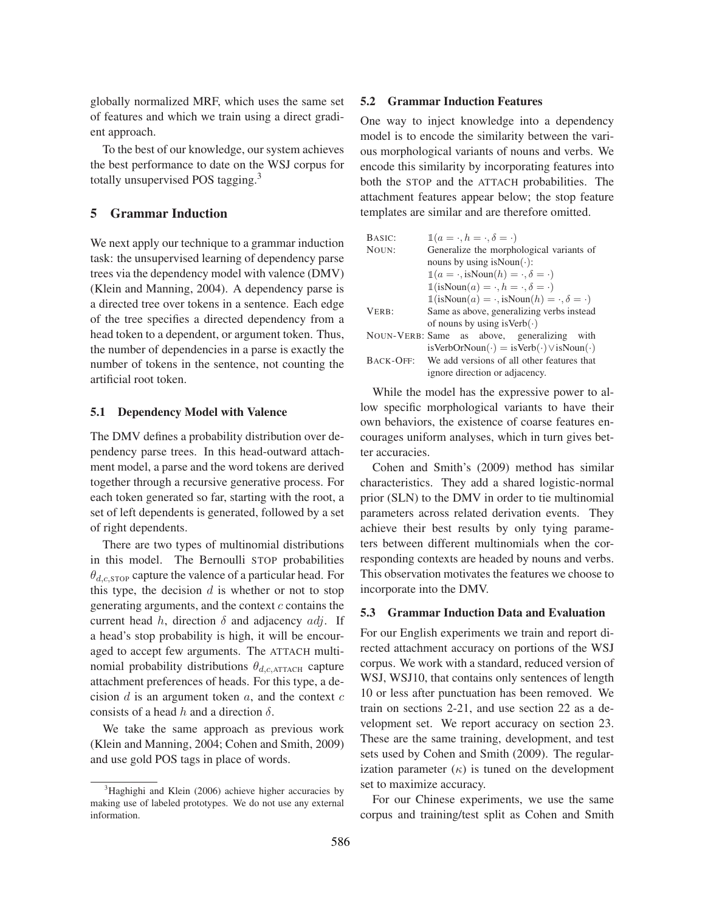globally normalized MRF, which uses the same set of features and which we train using a direct gradient approach.

To the best of our knowledge, our system achieves the best performance to date on the WSJ corpus for totally unsupervised POS tagging.<sup>3</sup>

## 5 Grammar Induction

We next apply our technique to a grammar induction task: the unsupervised learning of dependency parse trees via the dependency model with valence (DMV) (Klein and Manning, 2004). A dependency parse is a directed tree over tokens in a sentence. Each edge of the tree specifies a directed dependency from a head token to a dependent, or argument token. Thus, the number of dependencies in a parse is exactly the number of tokens in the sentence, not counting the artificial root token.

#### 5.1 Dependency Model with Valence

The DMV defines a probability distribution over dependency parse trees. In this head-outward attachment model, a parse and the word tokens are derived together through a recursive generative process. For each token generated so far, starting with the root, a set of left dependents is generated, followed by a set of right dependents.

There are two types of multinomial distributions in this model. The Bernoulli STOP probabilities  $\theta_{d,c,\text{STOP}}$  capture the valence of a particular head. For this type, the decision  $d$  is whether or not to stop generating arguments, and the context  $c$  contains the current head h, direction  $\delta$  and adjacency  $adj$ . If a head's stop probability is high, it will be encouraged to accept few arguments. The ATTACH multinomial probability distributions  $\theta_{d,c,ATTACH}$  capture attachment preferences of heads. For this type, a decision  $d$  is an argument token  $a$ , and the context  $c$ consists of a head h and a direction  $\delta$ .

We take the same approach as previous work (Klein and Manning, 2004; Cohen and Smith, 2009) and use gold POS tags in place of words.

## 5.2 Grammar Induction Features

One way to inject knowledge into a dependency model is to encode the similarity between the various morphological variants of nouns and verbs. We encode this similarity by incorporating features into both the STOP and the ATTACH probabilities. The attachment features appear below; the stop feature templates are similar and are therefore omitted.

| BASIC:           | $\mathbb{1}(a = \cdot, h = \cdot, \delta = \cdot)$                             |  |  |
|------------------|--------------------------------------------------------------------------------|--|--|
| NOUN:            | Generalize the morphological variants of                                       |  |  |
|                  | nouns by using is Noun( $\cdot$ ):                                             |  |  |
|                  | $\mathbb{1}(a = \cdot, \text{isNoun}(h) = \cdot, \delta = \cdot)$              |  |  |
|                  | $\mathbb{1}$ (isNoun $(a) = \cdot, h = \cdot, \delta = \cdot$ )                |  |  |
|                  | $\mathbb{1}$ (isNoun $(a) = \cdot$ , isNoun $(h) = \cdot$ , $\delta = \cdot$ ) |  |  |
| VERB:            | Same as above, generalizing verbs instead                                      |  |  |
|                  | of nouns by using is Verb $(\cdot)$                                            |  |  |
|                  | NOUN-VERB: Same as above, generalizing<br>with                                 |  |  |
|                  | $isVerbOrNoun(\cdot) = isVerb(\cdot) \vee isNoun(\cdot)$                       |  |  |
| <b>BACK-OFF:</b> | We add versions of all other features that                                     |  |  |
|                  | ignore direction or adjacency.                                                 |  |  |

While the model has the expressive power to allow specific morphological variants to have their own behaviors, the existence of coarse features encourages uniform analyses, which in turn gives better accuracies.

Cohen and Smith's (2009) method has similar characteristics. They add a shared logistic-normal prior (SLN) to the DMV in order to tie multinomial parameters across related derivation events. They achieve their best results by only tying parameters between different multinomials when the corresponding contexts are headed by nouns and verbs. This observation motivates the features we choose to incorporate into the DMV.

#### 5.3 Grammar Induction Data and Evaluation

For our English experiments we train and report directed attachment accuracy on portions of the WSJ corpus. We work with a standard, reduced version of WSJ, WSJ10, that contains only sentences of length 10 or less after punctuation has been removed. We train on sections 2-21, and use section 22 as a development set. We report accuracy on section 23. These are the same training, development, and test sets used by Cohen and Smith (2009). The regularization parameter  $(\kappa)$  is tuned on the development set to maximize accuracy.

For our Chinese experiments, we use the same corpus and training/test split as Cohen and Smith

<sup>&</sup>lt;sup>3</sup>Haghighi and Klein (2006) achieve higher accuracies by making use of labeled prototypes. We do not use any external information.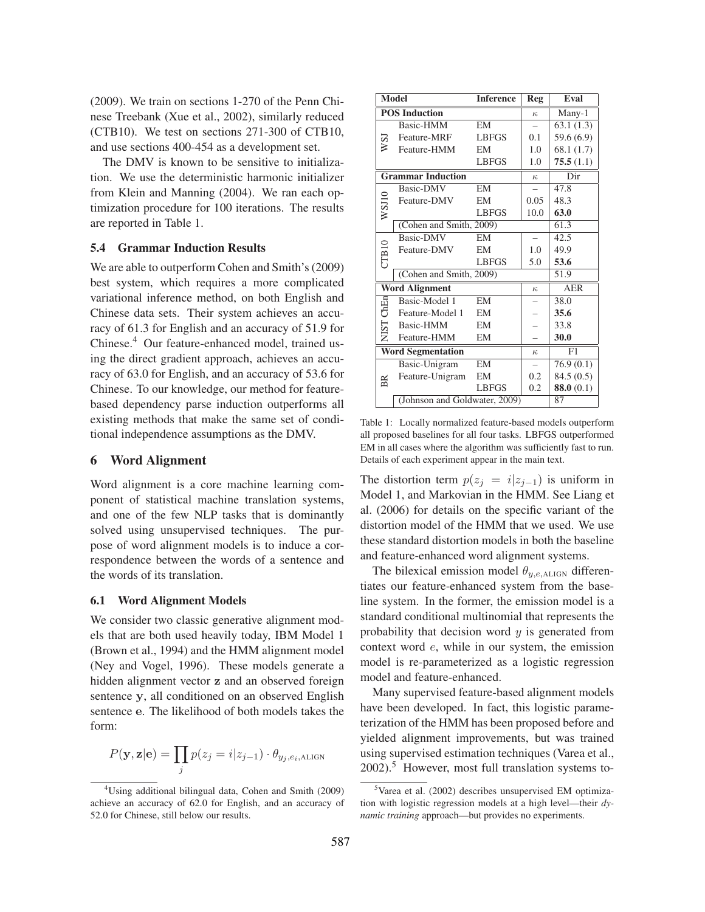(2009). We train on sections 1-270 of the Penn Chinese Treebank (Xue et al., 2002), similarly reduced (CTB10). We test on sections 271-300 of CTB10, and use sections 400-454 as a development set.

The DMV is known to be sensitive to initialization. We use the deterministic harmonic initializer from Klein and Manning (2004). We ran each optimization procedure for 100 iterations. The results are reported in Table 1.

#### 5.4 Grammar Induction Results

We are able to outperform Cohen and Smith's (2009) best system, which requires a more complicated variational inference method, on both English and Chinese data sets. Their system achieves an accuracy of 61.3 for English and an accuracy of 51.9 for Chinese.<sup>4</sup> Our feature-enhanced model, trained using the direct gradient approach, achieves an accuracy of 63.0 for English, and an accuracy of 53.6 for Chinese. To our knowledge, our method for featurebased dependency parse induction outperforms all existing methods that make the same set of conditional independence assumptions as the DMV.

# 6 Word Alignment

Word alignment is a core machine learning component of statistical machine translation systems, and one of the few NLP tasks that is dominantly solved using unsupervised techniques. The purpose of word alignment models is to induce a correspondence between the words of a sentence and the words of its translation.

## 6.1 Word Alignment Models

We consider two classic generative alignment models that are both used heavily today, IBM Model 1 (Brown et al., 1994) and the HMM alignment model (Ney and Vogel, 1996). These models generate a hidden alignment vector z and an observed foreign sentence y, all conditioned on an observed English sentence e. The likelihood of both models takes the form:

$$
P(\mathbf{y}, \mathbf{z}|\mathbf{e}) = \prod_j p(z_j = i|z_{j-1}) \cdot \theta_{y_j, e_i, \text{ALIGN}}
$$

|       | <b>Model</b>                  | <b>Inference</b> | Reg      | Eval       |
|-------|-------------------------------|------------------|----------|------------|
|       | <b>POS Induction</b>          |                  | $\kappa$ | Many-1     |
|       | Basic-HMM                     | EM               |          | 63.1(1.3)  |
| isn   | Feature-MRF                   | <b>LBFGS</b>     | 0.1      | 59.6 (6.9) |
|       | Feature-HMM                   | EM               | 1.0      | 68.1(1.7)  |
|       |                               | <b>LBFGS</b>     | 1.0      | 75.5(1.1)  |
|       | <b>Grammar Induction</b>      |                  | $\kappa$ | Dir        |
|       | <b>Basic-DMV</b>              | <b>EM</b>        |          | 47.8       |
|       | Feature-DMV                   | EM               | 0.05     | 48.3       |
| WSI10 |                               | <b>LBFGS</b>     | 10.0     | 63.0       |
|       | (Cohen and Smith, 2009)       |                  |          | 61.3       |
|       | Basic-DMV                     | EM               |          | 42.5       |
|       | Feature-DMV                   | EM               | 1.0      | 49.9       |
| CIB10 |                               | <b>LBFGS</b>     | 5.0      | 53.6       |
|       | (Cohen and Smith, 2009)       |                  |          | 51.9       |
|       | <b>Word Alignment</b>         |                  | $\kappa$ | <b>AER</b> |
| ChEn  | Basic-Model 1                 | <b>EM</b>        |          | 38.0       |
|       | Feature-Model 1               | EM               |          | 35.6       |
| NIST  | Basic-HMM                     | EM               |          | 33.8       |
|       | Feature-HMM                   | EM               |          | 30.0       |
|       | <b>Word Segmentation</b>      |                  | $\kappa$ | F1         |
|       | Basic-Unigram                 | EM               |          | 76.9(0.1)  |
| BR    | Feature-Unigram               | EM               | 0.2      | 84.5(0.5)  |
|       |                               | <b>LBFGS</b>     | 0.2      | 88.0(0.1)  |
|       | (Johnson and Goldwater, 2009) |                  |          | 87         |

Table 1: Locally normalized feature-based models outperform all proposed baselines for all four tasks. LBFGS outperformed EM in all cases where the algorithm was sufficiently fast to run. Details of each experiment appear in the main text.

The distortion term  $p(z_j = i|z_{j-1})$  is uniform in Model 1, and Markovian in the HMM. See Liang et al. (2006) for details on the specific variant of the distortion model of the HMM that we used. We use these standard distortion models in both the baseline and feature-enhanced word alignment systems.

The bilexical emission model  $\theta_{y,e,\text{ALIGN}}$  differentiates our feature-enhanced system from the baseline system. In the former, the emission model is a standard conditional multinomial that represents the probability that decision word  $y$  is generated from context word e, while in our system, the emission model is re-parameterized as a logistic regression model and feature-enhanced.

Many supervised feature-based alignment models have been developed. In fact, this logistic parameterization of the HMM has been proposed before and yielded alignment improvements, but was trained using supervised estimation techniques (Varea et al.,  $2002$ ).<sup>5</sup> However, most full translation systems to-

<sup>4</sup>Using additional bilingual data, Cohen and Smith (2009) achieve an accuracy of 62.0 for English, and an accuracy of 52.0 for Chinese, still below our results.

 $5$ Varea et al. (2002) describes unsupervised EM optimization with logistic regression models at a high level—their *dynamic training* approach—but provides no experiments.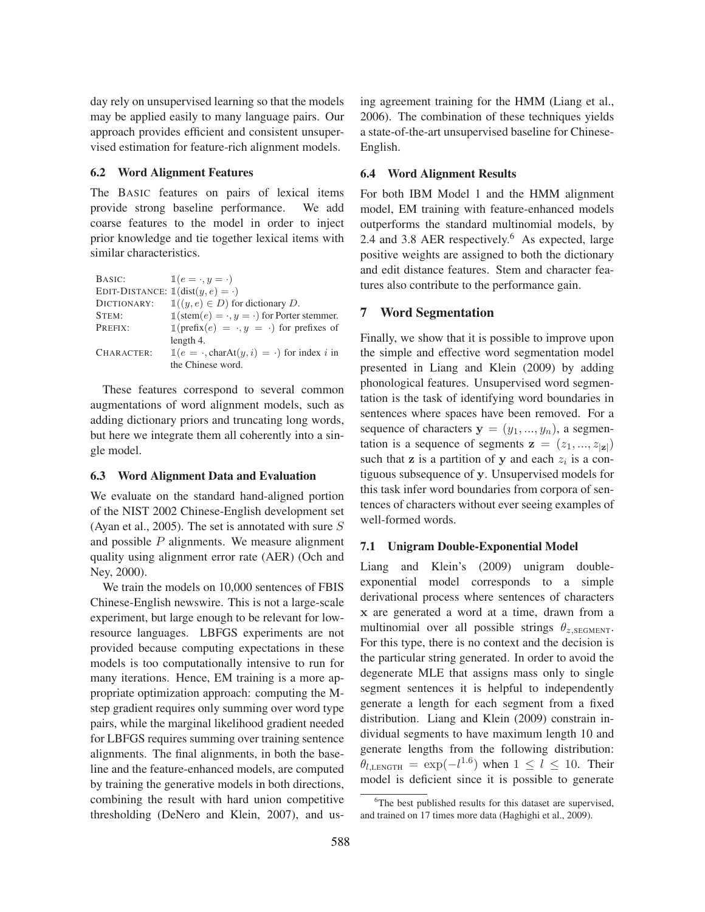day rely on unsupervised learning so that the models may be applied easily to many language pairs. Our approach provides efficient and consistent unsupervised estimation for feature-rich alignment models.

#### 6.2 Word Alignment Features

The BASIC features on pairs of lexical items provide strong baseline performance. We add coarse features to the model in order to inject prior knowledge and tie together lexical items with similar characteristics.

| BASIC:                                                 | $\mathbb{1}(e=\cdot,y=\cdot)$                                       |
|--------------------------------------------------------|---------------------------------------------------------------------|
| EDIT-DISTANCE: $\mathbb{1}(\text{dist}(y, e) = \cdot)$ |                                                                     |
| DICTIONARY:                                            | $\mathbb{1}((y, e) \in D)$ for dictionary D.                        |
| STEM:                                                  | $\mathbb{1}(\text{stem}(e) = \cdot, y = \cdot)$ for Porter stemmer. |
| PREFIX:                                                | $\mathbb{1}(\text{prefix}(e) = \cdot, y = \cdot)$ for prefixes of   |
|                                                        | length 4.                                                           |
| CHARACTER:                                             | $\mathbb{1}(e = \cdot, \text{charAt}(y, i) = \cdot)$ for index i in |
|                                                        | the Chinese word.                                                   |

These features correspond to several common augmentations of word alignment models, such as adding dictionary priors and truncating long words, but here we integrate them all coherently into a single model.

#### 6.3 Word Alignment Data and Evaluation

We evaluate on the standard hand-aligned portion of the NIST 2002 Chinese-English development set (Ayan et al., 2005). The set is annotated with sure S and possible  $P$  alignments. We measure alignment quality using alignment error rate (AER) (Och and Ney, 2000).

We train the models on 10,000 sentences of FBIS Chinese-English newswire. This is not a large-scale experiment, but large enough to be relevant for lowresource languages. LBFGS experiments are not provided because computing expectations in these models is too computationally intensive to run for many iterations. Hence, EM training is a more appropriate optimization approach: computing the Mstep gradient requires only summing over word type pairs, while the marginal likelihood gradient needed for LBFGS requires summing over training sentence alignments. The final alignments, in both the baseline and the feature-enhanced models, are computed by training the generative models in both directions, combining the result with hard union competitive thresholding (DeNero and Klein, 2007), and using agreement training for the HMM (Liang et al., 2006). The combination of these techniques yields a state-of-the-art unsupervised baseline for Chinese-English.

### 6.4 Word Alignment Results

For both IBM Model 1 and the HMM alignment model, EM training with feature-enhanced models outperforms the standard multinomial models, by 2.4 and 3.8 AER respectively.<sup>6</sup> As expected, large positive weights are assigned to both the dictionary and edit distance features. Stem and character features also contribute to the performance gain.

## 7 Word Segmentation

Finally, we show that it is possible to improve upon the simple and effective word segmentation model presented in Liang and Klein (2009) by adding phonological features. Unsupervised word segmentation is the task of identifying word boundaries in sentences where spaces have been removed. For a sequence of characters  $y = (y_1, ..., y_n)$ , a segmentation is a sequence of segments  $\mathbf{z} = (z_1, ..., z_{|\mathbf{z}|})$ such that z is a partition of y and each  $z_i$  is a contiguous subsequence of y. Unsupervised models for this task infer word boundaries from corpora of sentences of characters without ever seeing examples of well-formed words.

### 7.1 Unigram Double-Exponential Model

Liang and Klein's (2009) unigram doubleexponential model corresponds to a simple derivational process where sentences of characters x are generated a word at a time, drawn from a multinomial over all possible strings  $\theta_{z,SEGMENT}$ . For this type, there is no context and the decision is the particular string generated. In order to avoid the degenerate MLE that assigns mass only to single segment sentences it is helpful to independently generate a length for each segment from a fixed distribution. Liang and Klein (2009) constrain individual segments to have maximum length 10 and generate lengths from the following distribution:  $\theta_{l,\text{LENGTH}} = \exp(-l^{1.6})$  when  $1 \leq l \leq 10$ . Their model is deficient since it is possible to generate

<sup>&</sup>lt;sup>6</sup>The best published results for this dataset are supervised, and trained on 17 times more data (Haghighi et al., 2009).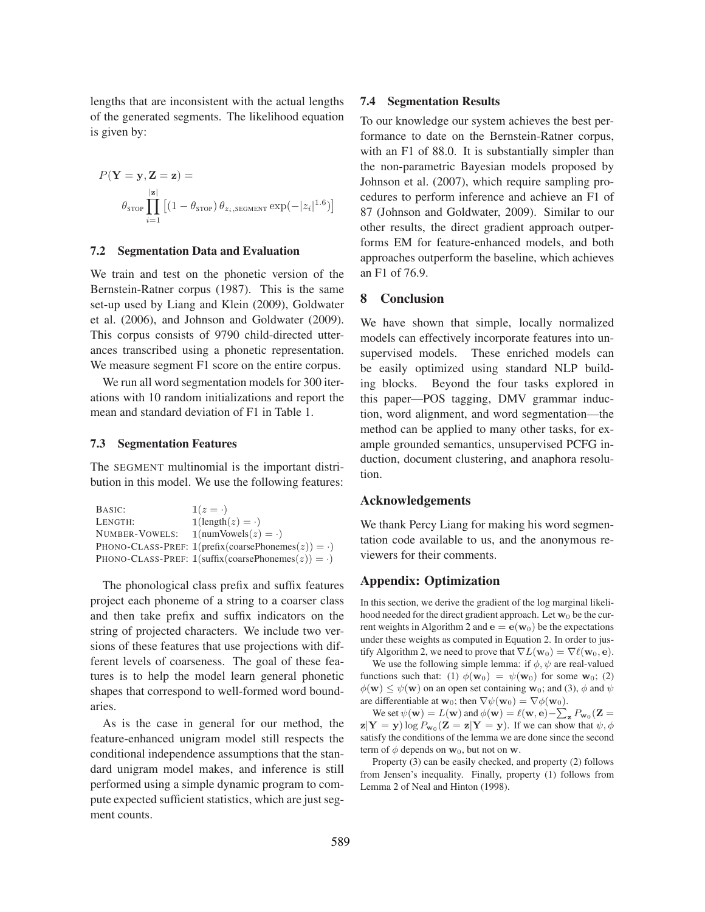lengths that are inconsistent with the actual lengths of the generated segments. The likelihood equation is given by:

$$
P(\mathbf{Y} = \mathbf{y}, \mathbf{Z} = \mathbf{z}) =
$$

$$
\theta_{\text{STOP}} \prod_{i=1}^{|\mathbf{z}|} \left[ (1 - \theta_{\text{STOP}}) \theta_{z_i, \text{SEGMENT}} \exp(-|z_i|^{1.6}) \right]
$$

#### 7.2 Segmentation Data and Evaluation

We train and test on the phonetic version of the Bernstein-Ratner corpus (1987). This is the same set-up used by Liang and Klein (2009), Goldwater et al. (2006), and Johnson and Goldwater (2009). This corpus consists of 9790 child-directed utterances transcribed using a phonetic representation. We measure segment F1 score on the entire corpus.

We run all word segmentation models for 300 iterations with 10 random initializations and report the mean and standard deviation of F1 in Table 1.

## 7.3 Segmentation Features

The SEGMENT multinomial is the important distribution in this model. We use the following features:

| BASIC:         | $1(z = \cdot)$                                                 |
|----------------|----------------------------------------------------------------|
| LENGTH:        | $\mathbb{1}(\text{length}(z) = \cdot)$                         |
| NUMBER-VOWELS: | $\mathbb{1}$ (numVowels $(z) = \cdot$ )                        |
|                | PHONO-CLASS-PREF: $\mathbb{1}$ (prefix(coarsePhonemes(z)) = ·) |
|                | PHONO-CLASS-PREF: $\mathbb{1}$ (suffix(coarsePhonemes(z)) = ·) |

The phonological class prefix and suffix features project each phoneme of a string to a coarser class and then take prefix and suffix indicators on the string of projected characters. We include two versions of these features that use projections with different levels of coarseness. The goal of these features is to help the model learn general phonetic shapes that correspond to well-formed word boundaries.

As is the case in general for our method, the feature-enhanced unigram model still respects the conditional independence assumptions that the standard unigram model makes, and inference is still performed using a simple dynamic program to compute expected sufficient statistics, which are just segment counts.

### 7.4 Segmentation Results

To our knowledge our system achieves the best performance to date on the Bernstein-Ratner corpus, with an F1 of 88.0. It is substantially simpler than the non-parametric Bayesian models proposed by Johnson et al. (2007), which require sampling procedures to perform inference and achieve an F1 of 87 (Johnson and Goldwater, 2009). Similar to our other results, the direct gradient approach outperforms EM for feature-enhanced models, and both approaches outperform the baseline, which achieves an F1 of 76.9.

## 8 Conclusion

We have shown that simple, locally normalized models can effectively incorporate features into unsupervised models. These enriched models can be easily optimized using standard NLP building blocks. Beyond the four tasks explored in this paper—POS tagging, DMV grammar induction, word alignment, and word segmentation—the method can be applied to many other tasks, for example grounded semantics, unsupervised PCFG induction, document clustering, and anaphora resolution.

#### Acknowledgements

We thank Percy Liang for making his word segmentation code available to us, and the anonymous reviewers for their comments.

## Appendix: Optimization

In this section, we derive the gradient of the log marginal likelihood needed for the direct gradient approach. Let  $w_0$  be the current weights in Algorithm 2 and  $\mathbf{e} = \mathbf{e}(\mathbf{w}_0)$  be the expectations under these weights as computed in Equation 2. In order to justify Algorithm 2, we need to prove that  $\nabla L(\mathbf{w}_0) = \nabla \ell(\mathbf{w}_0, \mathbf{e}).$ 

We use the following simple lemma: if  $\phi$ ,  $\psi$  are real-valued functions such that: (1)  $\phi(\mathbf{w}_0) = \psi(\mathbf{w}_0)$  for some  $\mathbf{w}_0$ ; (2)  $\phi(\mathbf{w}) \leq \psi(\mathbf{w})$  on an open set containing  $\mathbf{w}_0$ ; and (3),  $\phi$  and  $\psi$ are differentiable at  $\mathbf{w}_0$ ; then  $\nabla \psi(\mathbf{w}_0) = \nabla \phi(\mathbf{w}_0)$ .

We set  $\psi(\mathbf{w}) = L(\mathbf{w})$  and  $\phi(\mathbf{w}) = \ell(\mathbf{w}, \mathbf{e}) - \sum_{\mathbf{z}} P_{\mathbf{w}_0}(\mathbf{Z} =$  $\mathbf{z}|\mathbf{Y}=\mathbf{y})\log P_{\mathbf{w}_0}(\mathbf{Z}=\mathbf{z}|\mathbf{Y}=\mathbf{y})$ . If we can show that  $\psi, \phi$ satisfy the conditions of the lemma we are done since the second term of  $\phi$  depends on  $w_0$ , but not on w.

Property (3) can be easily checked, and property (2) follows from Jensen's inequality. Finally, property (1) follows from Lemma 2 of Neal and Hinton (1998).